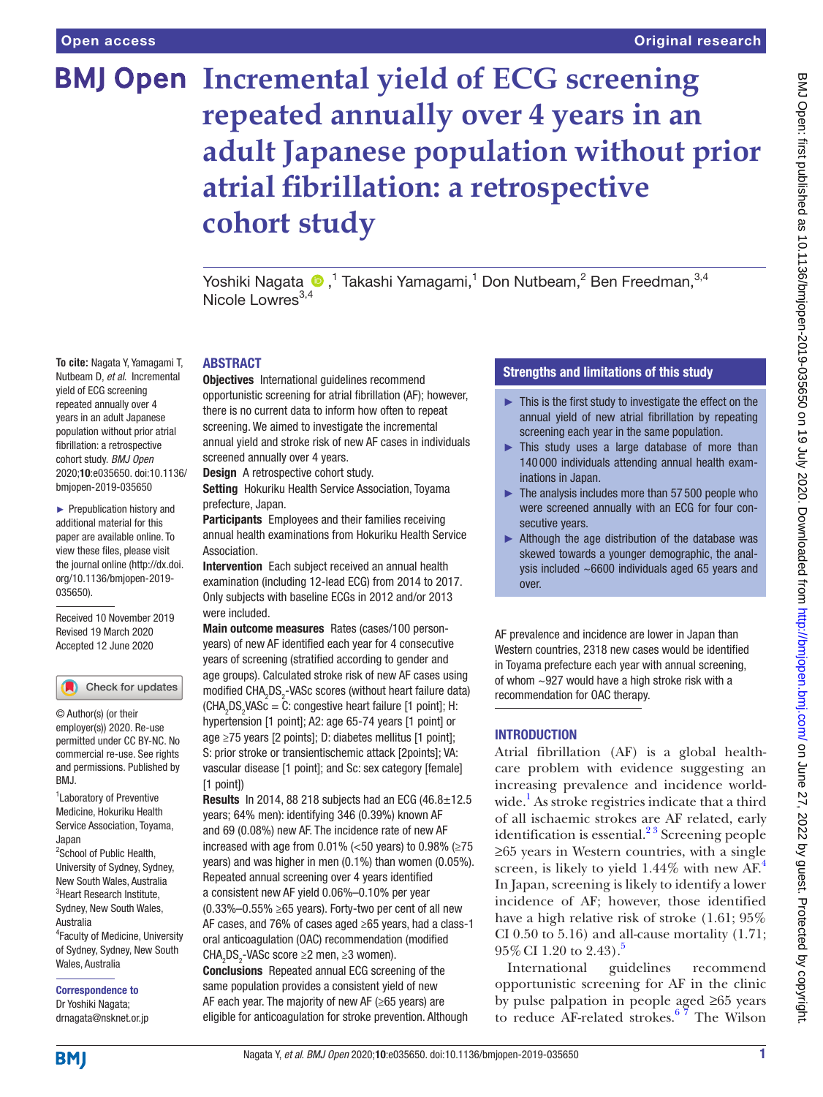**To cite:** Nagata Y, Yamagami T, Nutbeam D, *et al*. Incremental yield of ECG screening repeated annually over 4 years in an adult Japanese population without prior atrial fibrillation: a retrospective cohort study. *BMJ Open* 2020;10:e035650. doi:10.1136/ bmjopen-2019-035650 ► Prepublication history and additional material for this paper are available online. To view these files, please visit the journal online (http://dx.doi. org/10.1136/bmjopen-2019-

035650).

Received 10 November 2019 Revised 19 March 2020 Accepted 12 June 2020

Check for updates

<sup>1</sup> Laboratory of Preventive Medicine, Hokuriku Health Service Association, Toyama,

© Author(s) (or their employer(s)) 2020. Re-use permitted under CC BY-NC. No commercial re-use. See rights and permissions. Published by

<sup>2</sup>School of Public Health, University of Sydney, Sydney, New South Wales, Australia <sup>3</sup>Heart Research Institute, Sydney, New South Wales,

4 Faculty of Medicine, University of Sydney, Sydney, New South

# **BMJ Open Incremental yield of ECG screening repeated annually over 4 years in an adult Japanese population without prior atrial fibrillation: a retrospective cohort study**

Yoshiki Nagata ®,<sup>1</sup> Takashi Yamagami,<sup>1</sup> Don Nutbeam,<sup>2</sup> Ben Freedman,<sup>3,4</sup> Nicole Lowres $^{3,4}$ 

#### ABSTRACT

Objectives International guidelines recommend opportunistic screening for atrial fibrillation (AF); however, there is no current data to inform how often to repeat screening. We aimed to investigate the incremental annual yield and stroke risk of new AF cases in individuals screened annually over 4 years.

Design A retrospective cohort study.

Setting Hokuriku Health Service Association, Toyama prefecture, Japan.

Participants Employees and their families receiving annual health examinations from Hokuriku Health Service Association.

Intervention Each subject received an annual health examination (including 12-lead ECG) from 2014 to 2017. Only subjects with baseline ECGs in 2012 and/or 2013 were included.

Main outcome measures Rates (cases/100 personyears) of new AF identified each year for 4 consecutive years of screening (stratified according to gender and age groups). Calculated stroke risk of new AF cases using modified  $\texttt{CHA}_{\texttt{2}}\texttt{DS}_{\texttt{2}}$ -VAS $\texttt{c}$  scores (without heart failure data)  $(CHA<sub>2</sub>DS<sub>2</sub>VASC = C: congestive heart failure [1 point]; H:$ hypertension [1 point]; A2: age 65-74 years [1 point] or age ≥75 years [2 points]; D: diabetes mellitus [1 point]; S: prior stroke or transientischemic attack [2points]; VA: vascular disease [1 point]; and Sc: sex category [female] [1 point])

Results In 2014, 88 218 subjects had an ECG  $(46.8 \pm 12.5$ years; 64% men): identifying 346 (0.39%) known AF and 69 (0.08%) new AF. The incidence rate of new AF increased with age from 0.01% (<50 years) to 0.98% ( $\geq$ 75 years) and was higher in men (0.1%) than women (0.05%). Repeated annual screening over 4 years identified a consistent new AF yield 0.06%–0.10% per year (0.33%–0.55% ≥65 years). Forty-two per cent of all new AF cases, and 76% of cases aged ≥65 years, had a class-1 oral anticoagulation (OAC) recommendation (modified CHA<sub>2</sub>DS<sub>2</sub>-VASc score ≥2 men, ≥3 women).

Conclusions Repeated annual ECG screening of the same population provides a consistent yield of new AF each year. The majority of new AF (≥65 years) are eligible for anticoagulation for stroke prevention. Although

# Strengths and limitations of this study

- $\blacktriangleright$  This is the first study to investigate the effect on the annual yield of new atrial fibrillation by repeating screening each year in the same population.
- ► This study uses a large database of more than 140 000 individuals attending annual health examinations in Japan.
- $\blacktriangleright$  The analysis includes more than 57 500 people who were screened annually with an ECG for four consecutive years.
- ► Although the age distribution of the database was skewed towards a younger demographic, the analysis included ~6600 individuals aged 65 years and over.

AF prevalence and incidence are lower in Japan than Western countries, 2318 new cases would be identified in Toyama prefecture each year with annual screening, of whom  $\sim$ 927 would have a high stroke risk with a recommendation for OAC therapy.

# INTRODUCTION

Atrial fibrillation (AF) is a global healthcare problem with evidence suggesting an increasing prevalence and incidence world-wide.<sup>[1](#page-5-0)</sup> As stroke registries indicate that a third of all ischaemic strokes are AF related, early identification is essential. $2<sup>3</sup>$  Screening people ≥65 years in Western countries, with a single screen, is likely to yield  $1.44\%$  $1.44\%$  $1.44\%$  with new AF.<sup>4</sup> In Japan, screening is likely to identify a lower incidence of AF; however, those identified have a high relative risk of stroke (1.61; 95% CI 0.50 to 5.16) and all-cause mortality  $(1.71;$  $95\%$  $95\%$  $95\%$  CI 1.20 to 2.43).<sup>5</sup>

International guidelines recommend opportunistic screening for AF in the clinic by pulse palpation in people aged ≥65 years to reduce AF-related strokes.[6 7](#page-5-4) The Wilson

**BMI** 

Japan

RM<sub>J</sub>

Australia

Wales, Australia

Correspondence to Dr Yoshiki Nagata; drnagata@nsknet.or.jp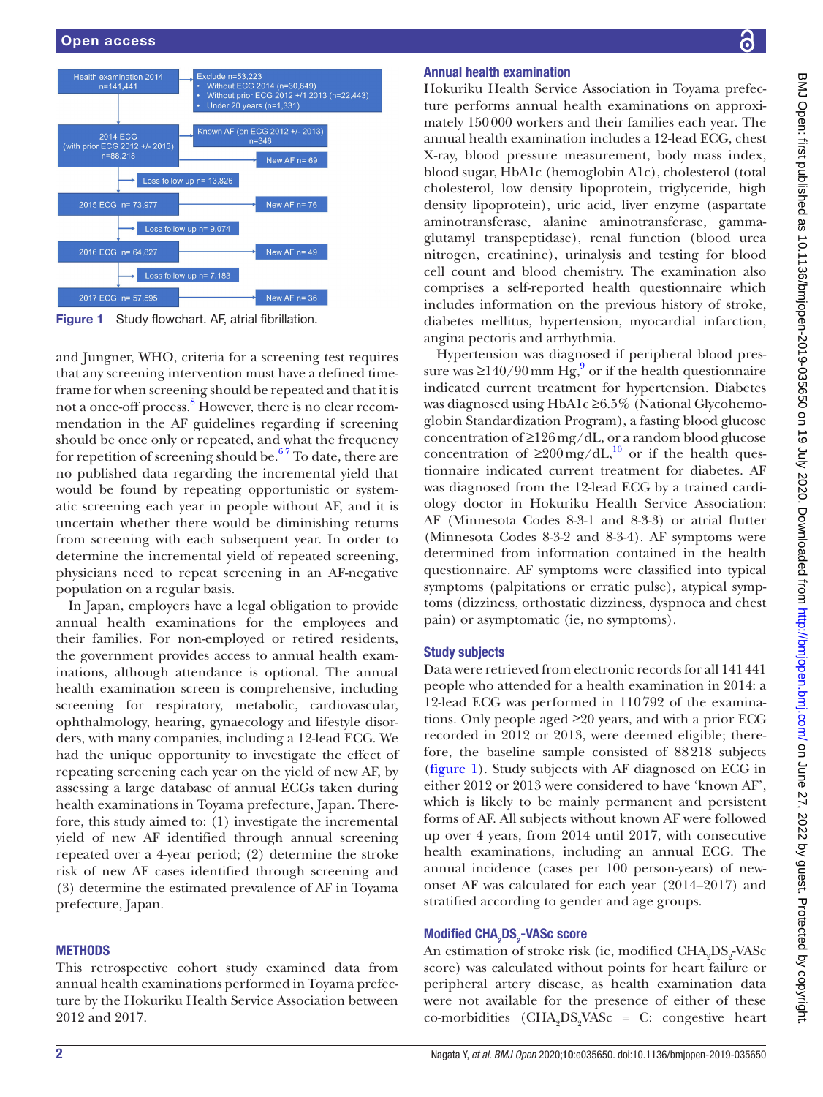

<span id="page-1-0"></span>Figure 1 Study flowchart. AF, atrial fibrillation.

and Jungner, WHO, criteria for a screening test requires that any screening intervention must have a defined timeframe for when screening should be repeated and that it is not a once-off process.<sup>[8](#page-5-5)</sup> However, there is no clear recommendation in the AF guidelines regarding if screening should be once only or repeated, and what the frequency for repetition of screening should be.<sup>67</sup> To date, there are no published data regarding the incremental yield that would be found by repeating opportunistic or systematic screening each year in people without AF, and it is uncertain whether there would be diminishing returns from screening with each subsequent year. In order to determine the incremental yield of repeated screening, physicians need to repeat screening in an AF-negative population on a regular basis.

In Japan, employers have a legal obligation to provide annual health examinations for the employees and their families. For non-employed or retired residents, the government provides access to annual health examinations, although attendance is optional. The annual health examination screen is comprehensive, including screening for respiratory, metabolic, cardiovascular, ophthalmology, hearing, gynaecology and lifestyle disorders, with many companies, including a 12-lead ECG. We had the unique opportunity to investigate the effect of repeating screening each year on the yield of new AF, by assessing a large database of annual ECGs taken during health examinations in Toyama prefecture, Japan. Therefore, this study aimed to: (1) investigate the incremental yield of new AF identified through annual screening repeated over a 4-year period; (2) determine the stroke risk of new AF cases identified through screening and (3) determine the estimated prevalence of AF in Toyama prefecture, Japan.

# **METHODS**

This retrospective cohort study examined data from annual health examinations performed in Toyama prefecture by the Hokuriku Health Service Association between 2012 and 2017.

# Annual health examination

Hokuriku Health Service Association in Toyama prefecture performs annual health examinations on approximately 150000 workers and their families each year. The annual health examination includes a 12-lead ECG, chest X-ray, blood pressure measurement, body mass index, blood sugar, HbA1c (hemoglobin A1c), cholesterol (total cholesterol, low density lipoprotein, triglyceride, high density lipoprotein), uric acid, liver enzyme (aspartate aminotransferase, alanine aminotransferase, gammaglutamyl transpeptidase), renal function (blood urea nitrogen, creatinine), urinalysis and testing for blood cell count and blood chemistry. The examination also comprises a self-reported health questionnaire which includes information on the previous history of stroke, diabetes mellitus, hypertension, myocardial infarction, angina pectoris and arrhythmia.

Hypertension was diagnosed if peripheral blood pressure was  $\geq$ 140/[9](#page-5-6)0 mm Hg,<sup>9</sup> or if the health questionnaire indicated current treatment for hypertension. Diabetes was diagnosed using HbA1c ≥6.5% (National Glycohemoglobin Standardization Program), a fasting blood glucose concentration of ≥126mg/dL, or a random blood glucose concentration of  $\geq 200 \text{ mg/dL}^{10}$  $\geq 200 \text{ mg/dL}^{10}$  $\geq 200 \text{ mg/dL}^{10}$  or if the health questionnaire indicated current treatment for diabetes. AF was diagnosed from the 12-lead ECG by a trained cardiology doctor in Hokuriku Health Service Association: AF (Minnesota Codes 8-3-1 and 8-3-3) or atrial flutter (Minnesota Codes 8-3-2 and 8-3-4). AF symptoms were determined from information contained in the health questionnaire. AF symptoms were classified into typical symptoms (palpitations or erratic pulse), atypical symptoms (dizziness, orthostatic dizziness, dyspnoea and chest pain) or asymptomatic (ie, no symptoms).

# Study subjects

Data were retrieved from electronic records for all 141441 people who attended for a health examination in 2014: a 12-lead ECG was performed in 110792 of the examinations. Only people aged ≥20 years, and with a prior ECG recorded in 2012 or 2013, were deemed eligible; therefore, the baseline sample consisted of 88218 subjects [\(figure](#page-1-0) 1). Study subjects with AF diagnosed on ECG in either 2012 or 2013 were considered to have 'known AF', which is likely to be mainly permanent and persistent forms of AF. All subjects without known AF were followed up over 4 years, from 2014 until 2017, with consecutive health examinations, including an annual ECG. The annual incidence (cases per 100 person-years) of newonset AF was calculated for each year (2014–2017) and stratified according to gender and age groups.

# Modified CHA<sub>2</sub>DS<sub>2</sub>-VASc score

An estimation of stroke risk (ie, modified  $\mathrm{CHA}_{2}\mathrm{DS}_{2}$ -VAS $\mathrm{c}$ score) was calculated without points for heart failure or peripheral artery disease, as health examination data were not available for the presence of either of these co-morbidities  $(CHA_2DS_2VASc = C$ : congestive heart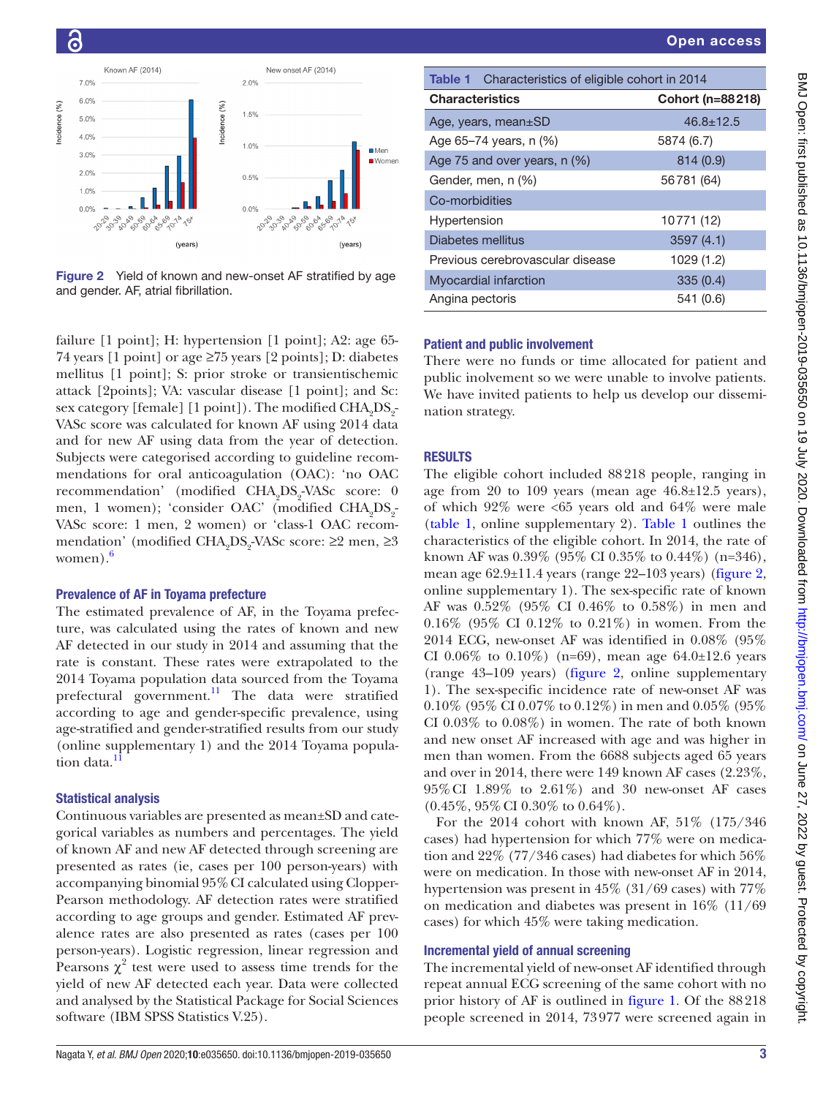

<span id="page-2-1"></span>Figure 2 Yield of known and new-onset AF stratified by age and gender. AF, atrial fibrillation.

failure [1 point]; H: hypertension [1 point]; A2: age 65- 74 years [1 point] or age ≥75 years [2 points]; D: diabetes mellitus [1 point]; S: prior stroke or transientischemic attack [2points]; VA: vascular disease [1 point]; and Sc: sex category [female] [1 point]). The modified  $\rm CHA_{2}DS_{2}$ VASc score was calculated for known AF using 2014 data and for new AF using data from the year of detection. Subjects were categorised according to guideline recommendations for oral anticoagulation (OAC): 'no OAC recommendation' (modified CHA<sub>2</sub>DS<sub>2</sub>-VASc score: 0 men, 1 women); 'consider OAC' (modified CHA<sub>2</sub>DS<sub>2</sub>-VASc score: 1 men, 2 women) or 'class-1 OAC recommendation' (modified CHA<sub>2</sub>DS<sub>2</sub>-VASc score: ≥2 men, ≥3 women). $6$ 

#### Prevalence of AF in Toyama prefecture

The estimated prevalence of AF, in the Toyama prefecture, was calculated using the rates of known and new AF detected in our study in 2014 and assuming that the rate is constant. These rates were extrapolated to the 2014 Toyama population data sourced from the Toyama prefectural government.<sup>[11](#page-5-8)</sup> The data were stratified according to age and gender-specific prevalence, using age-stratified and gender-stratified results from our study ([online supplementary 1\)](https://dx.doi.org/10.1136/bmjopen-2019-035650) and the 2014 Toyama population data.

#### Statistical analysis

Continuous variables are presented as mean±SD and categorical variables as numbers and percentages. The yield of known AF and new AF detected through screening are presented as rates (ie, cases per 100 person-years) with accompanying binomial 95%CI calculated using Clopper-Pearson methodology. AF detection rates were stratified according to age groups and gender. Estimated AF prevalence rates are also presented as rates (cases per 100 person-years). Logistic regression, linear regression and Pearsons  $\chi^2$  test were used to assess time trends for the yield of new AF detected each year. Data were collected and analysed by the Statistical Package for Social Sciences software (IBM SPSS Statistics V.25).

<span id="page-2-0"></span>

| <b>Table 1</b> Characteristics of eligible cohort in 2014 |                  |
|-----------------------------------------------------------|------------------|
| <b>Characteristics</b>                                    | Cohort (n=88218) |
| Age, years, mean $\pm$ SD                                 | $46.8 \pm 12.5$  |
| Age 65-74 years, n (%)                                    | 5874 (6.7)       |
| Age 75 and over years, n (%)                              | 814 (0.9)        |
| Gender, men, n (%)                                        | 56781 (64)       |
| Co-morbidities                                            |                  |
| Hypertension                                              | 10771 (12)       |
| Diabetes mellitus                                         | 3597(4.1)        |
| Previous cerebrovascular disease                          | 1029 (1.2)       |
| <b>Myocardial infarction</b>                              | 335(0.4)         |
| Angina pectoris                                           | 541 (0.6)        |

#### Patient and public involvement

There were no funds or time allocated for patient and public inolvement so we were unable to involve patients. We have invited patients to help us develop our dissemination strategy.

#### **RESULTS**

The eligible cohort included 88218 people, ranging in age from 20 to 109 years (mean age  $46.8\pm12.5$  years), of which  $92\%$  were  $\lt 65$  years old and  $64\%$  were male [\(table](#page-2-0) 1, [online supplementary 2](https://dx.doi.org/10.1136/bmjopen-2019-035650)). [Table](#page-2-0) 1 outlines the characteristics of the eligible cohort. In 2014, the rate of known AF was 0.39% (95% CI 0.35% to 0.44%) (n=346), mean age 62.9±11.4 years (range 22–103 years) [\(figure](#page-2-1) 2, [online supplementary 1](https://dx.doi.org/10.1136/bmjopen-2019-035650)). The sex-specific rate of known AF was 0.52% (95% CI 0.46% to 0.58%) in men and 0.16% (95% CI 0.12% to 0.21%) in women. From the 2014 ECG, new-onset AF was identified in 0.08% (95% CI 0.06\% to 0.10\%) (n=69), mean age 64.0±12.6 years (range 43–109 years) ([figure](#page-2-1) 2, [online supplementary](https://dx.doi.org/10.1136/bmjopen-2019-035650)  [1](https://dx.doi.org/10.1136/bmjopen-2019-035650)). The sex-specific incidence rate of new-onset AF was 0.10% (95% CI 0.07% to 0.12%) in men and 0.05% (95% CI 0.03% to 0.08%) in women. The rate of both known and new onset AF increased with age and was higher in men than women. From the 6688 subjects aged 65 years and over in 2014, there were 149 known AF cases (2.23%, 95%CI 1.89% to 2.61%) and 30 new-onset AF cases  $(0.45\%, 95\% \text{ CI } 0.30\% \text{ to } 0.64\%).$ 

For the 2014 cohort with known AF, 51% (175/346 cases) had hypertension for which 77% were on medication and 22% (77/346 cases) had diabetes for which 56% were on medication. In those with new-onset AF in 2014, hypertension was present in 45% (31/69 cases) with 77% on medication and diabetes was present in 16% (11/69 cases) for which 45% were taking medication.

#### Incremental yield of annual screening

The incremental yield of new-onset AF identified through repeat annual ECG screening of the same cohort with no prior history of AF is outlined in [figure](#page-1-0) 1. Of the 88218 people screened in 2014, 73977 were screened again in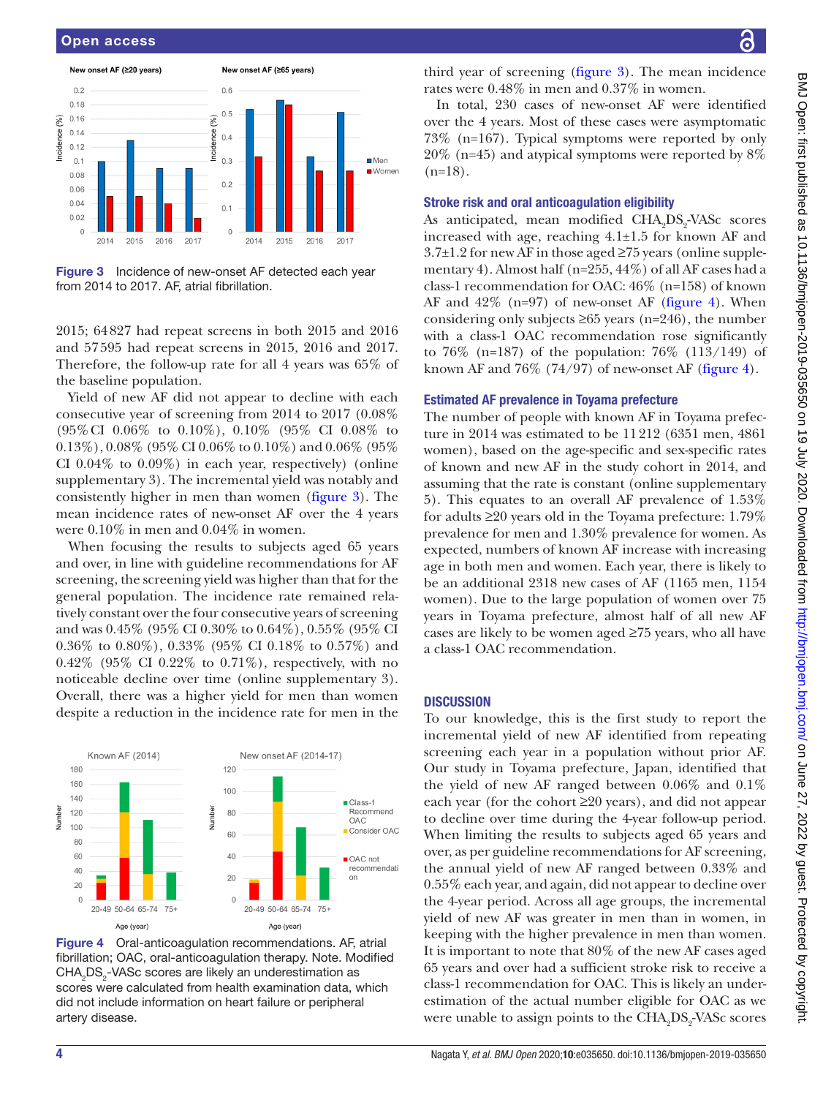

<span id="page-3-0"></span>Figure 3 Incidence of new-onset AF detected each year from 2014 to 2017. AF, atrial fibrillation.

2015; 64827 had repeat screens in both 2015 and 2016 and 57595 had repeat screens in 2015, 2016 and 2017. Therefore, the follow-up rate for all 4 years was 65% of the baseline population.

Yield of new AF did not appear to decline with each consecutive year of screening from 2014 to 2017 (0.08% (95%CI 0.06% to 0.10%), 0.10% (95% CI 0.08% to  $(0.13\%)$ ,  $0.08\%$  (95% CI 0.06% to 0.10%) and 0.06% (95%) CI 0.04% to 0.09%) in each year, respectively) [\(online](https://dx.doi.org/10.1136/bmjopen-2019-035650) [supplementary 3\)](https://dx.doi.org/10.1136/bmjopen-2019-035650). The incremental yield was notably and consistently higher in men than women ([figure](#page-3-0) 3). The mean incidence rates of new-onset AF over the 4 years were 0.10% in men and 0.04% in women.

When focusing the results to subjects aged 65 years and over, in line with guideline recommendations for AF screening, the screening yield was higher than that for the general population. The incidence rate remained relatively constant over the four consecutive years of screening and was 0.45% (95% CI 0.30% to 0.64%), 0.55% (95% CI 0.36% to 0.80%), 0.33% (95% CI 0.18% to 0.57%) and 0.42% (95% CI 0.22% to 0.71%), respectively, with no noticeable decline over time ([online supplementary 3](https://dx.doi.org/10.1136/bmjopen-2019-035650)). Overall, there was a higher yield for men than women despite a reduction in the incidence rate for men in the



<span id="page-3-1"></span>Figure 4 Oral-anticoagulation recommendations. AF, atrial fibrillation; OAC, oral-anticoagulation therapy. Note. Modified CHA<sub>2</sub>DS<sub>2</sub>-VASc scores are likely an underestimation as scores were calculated from health examination data, which did not include information on heart failure or peripheral artery disease.

third year of screening [\(figure](#page-3-0) 3). The mean incidence rates were 0.48% in men and 0.37% in women.

In total, 230 cases of new-onset AF were identified over the 4 years. Most of these cases were asymptomatic 73% (n=167). Typical symptoms were reported by only 20% (n=45) and atypical symptoms were reported by 8%  $(n=18)$ .

#### Stroke risk and oral anticoagulation eligibility

As anticipated, mean modified CHA<sub>2</sub>DS<sub>2</sub>-VASc scores increased with age, reaching  $4.1 \pm 1.5$  for known AF and  $3.7\pm1.2$  for new AF in those aged  $\geq$ 75 years [\(online supple](https://dx.doi.org/10.1136/bmjopen-2019-035650)[mentary 4\)](https://dx.doi.org/10.1136/bmjopen-2019-035650). Almost half (n=255, 44%) of all AF cases had a class-1 recommendation for OAC: 46% (n=158) of known AF and  $42\%$  (n=97) of new-onset AF [\(figure](#page-3-1) 4). When considering only subjects  $\geq 65$  years (n=246), the number with a class-1 OAC recommendation rose significantly to 76% (n=187) of the population: 76% (113/149) of known AF and  $76\%$  (74/97) of new-onset AF ([figure](#page-3-1) 4).

#### Estimated AF prevalence in Toyama prefecture

The number of people with known AF in Toyama prefecture in 2014 was estimated to be 11212 (6351 men, 4861 women), based on the age-specific and sex-specific rates of known and new AF in the study cohort in 2014, and assuming that the rate is constant [\(online supplementary](https://dx.doi.org/10.1136/bmjopen-2019-035650)  [5](https://dx.doi.org/10.1136/bmjopen-2019-035650)). This equates to an overall AF prevalence of 1.53% for adults ≥20 years old in the Toyama prefecture: 1.79% prevalence for men and 1.30% prevalence for women. As expected, numbers of known AF increase with increasing age in both men and women. Each year, there is likely to be an additional 2318 new cases of AF (1165 men, 1154 women). Due to the large population of women over 75 years in Toyama prefecture, almost half of all new AF cases are likely to be women aged ≥75 years, who all have a class-1 OAC recommendation.

#### **DISCUSSION**

To our knowledge, this is the first study to report the incremental yield of new AF identified from repeating screening each year in a population without prior AF. Our study in Toyama prefecture, Japan, identified that the yield of new AF ranged between 0.06% and 0.1% each year (for the cohort ≥20 years), and did not appear to decline over time during the 4-year follow-up period. When limiting the results to subjects aged 65 years and over, as per guideline recommendations for AF screening, the annual yield of new AF ranged between 0.33% and 0.55% each year, and again, did not appear to decline over the 4-year period. Across all age groups, the incremental yield of new AF was greater in men than in women, in keeping with the higher prevalence in men than women. It is important to note that 80% of the new AF cases aged 65 years and over had a sufficient stroke risk to receive a class-1 recommendation for OAC. This is likely an underestimation of the actual number eligible for OAC as we were unable to assign points to the  $\rm CHA_{2}DS_{2}$ -VAS $\rm c$  scores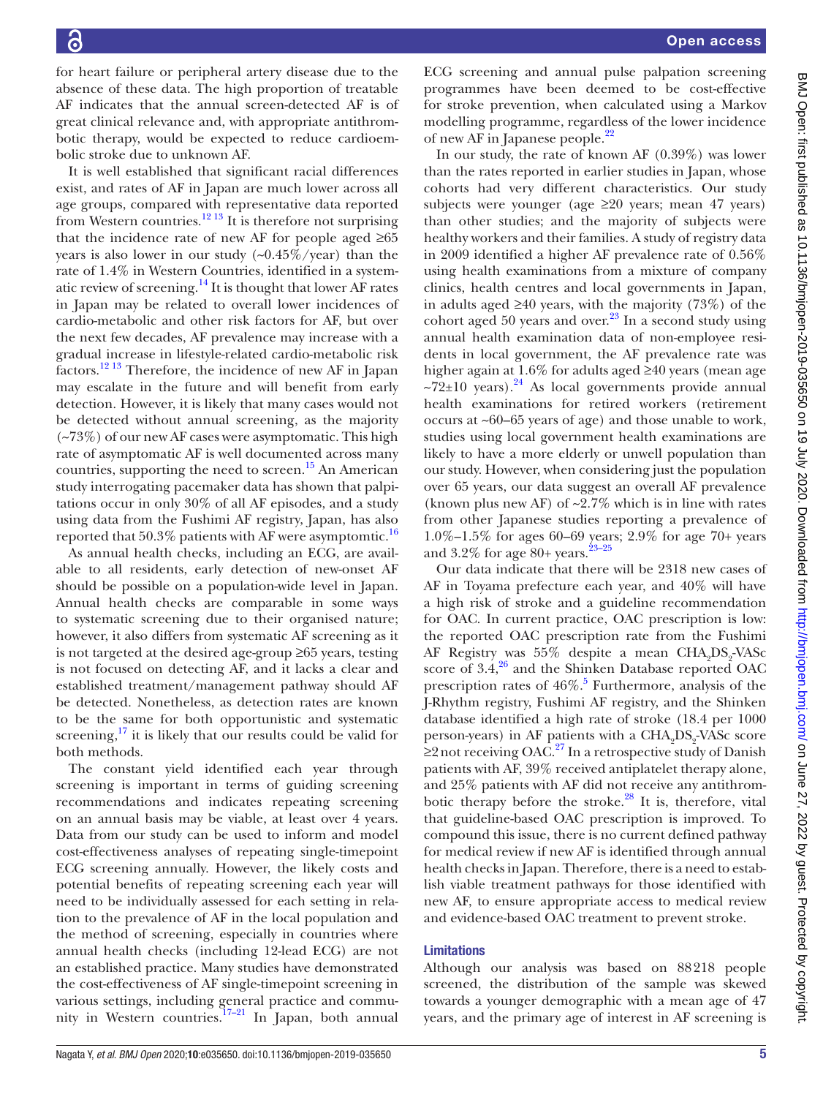for heart failure or peripheral artery disease due to the absence of these data. The high proportion of treatable AF indicates that the annual screen-detected AF is of great clinical relevance and, with appropriate antithrombotic therapy, would be expected to reduce cardioembolic stroke due to unknown AF.

It is well established that significant racial differences exist, and rates of AF in Japan are much lower across all age groups, compared with representative data reported from Western countries.<sup>12 13</sup> It is therefore not surprising that the incidence rate of new AF for people aged  $\geq 65$ years is also lower in our study  $(-0.45\%/year)$  than the rate of 1.4% in Western Countries, identified in a systematic review of screening. $^{14}$  It is thought that lower AF rates in Japan may be related to overall lower incidences of cardio-metabolic and other risk factors for AF, but over the next few decades, AF prevalence may increase with a gradual increase in lifestyle-related cardio-metabolic risk factors[.12 13](#page-5-9) Therefore, the incidence of new AF in Japan may escalate in the future and will benefit from early detection. However, it is likely that many cases would not be detected without annual screening, as the majority  $(-73%)$  of our new AF cases were asymptomatic. This high rate of asymptomatic AF is well documented across many countries, supporting the need to screen.<sup>15</sup> An American study interrogating pacemaker data has shown that palpitations occur in only 30% of all AF episodes, and a study using data from the Fushimi AF registry, Japan, has also reported that 50.3% patients with AF were asymptomtic.<sup>16</sup>

As annual health checks, including an ECG, are available to all residents, early detection of new-onset AF should be possible on a population-wide level in Japan. Annual health checks are comparable in some ways to systematic screening due to their organised nature; however, it also differs from systematic AF screening as it is not targeted at the desired age-group ≥65 years, testing is not focused on detecting AF, and it lacks a clear and established treatment/management pathway should AF be detected. Nonetheless, as detection rates are known to be the same for both opportunistic and systematic screening, $^{17}$  it is likely that our results could be valid for both methods.

The constant yield identified each year through screening is important in terms of guiding screening recommendations and indicates repeating screening on an annual basis may be viable, at least over 4 years. Data from our study can be used to inform and model cost-effectiveness analyses of repeating single-timepoint ECG screening annually. However, the likely costs and potential benefits of repeating screening each year will need to be individually assessed for each setting in relation to the prevalence of AF in the local population and the method of screening, especially in countries where annual health checks (including 12-lead ECG) are not an established practice. Many studies have demonstrated the cost-effectiveness of AF single-timepoint screening in various settings, including general practice and commu-nity in Western countries.<sup>[17–21](#page-5-13)</sup> In Japan, both annual

ECG screening and annual pulse palpation screening programmes have been deemed to be cost-effective for stroke prevention, when calculated using a Markov modelling programme, regardless of the lower incidence of new AF in Japanese people.<sup>[22](#page-6-0)</sup>

In our study, the rate of known AF (0.39%) was lower than the rates reported in earlier studies in Japan, whose cohorts had very different characteristics. Our study subjects were younger (age  $\geq 20$  years; mean 47 years) than other studies; and the majority of subjects were healthy workers and their families. A study of registry data in 2009 identified a higher AF prevalence rate of 0.56% using health examinations from a mixture of company clinics, health centres and local governments in Japan, in adults aged ≥40 years, with the majority (73%) of the cohort aged 50 years and over. $23$  In a second study using annual health examination data of non-employee residents in local government, the AF prevalence rate was higher again at 1.6% for adults aged ≥40 years (mean age  $\approx 72\pm 10$  years).<sup>24</sup> As local governments provide annual health examinations for retired workers (retirement occurs at ~60–65 years of age) and those unable to work, studies using local government health examinations are likely to have a more elderly or unwell population than our study. However, when considering just the population over 65 years, our data suggest an overall AF prevalence (known plus new AF) of  $\sim 2.7\%$  which is in line with rates from other Japanese studies reporting a prevalence of 1.0%–1.5% for ages 60–69 years; 2.9% for age 70+ years and  $3.2\%$  for age  $80+$  years.<sup>23-25</sup>

Our data indicate that there will be 2318 new cases of AF in Toyama prefecture each year, and 40% will have a high risk of stroke and a guideline recommendation for OAC. In current practice, OAC prescription is low: the reported OAC prescription rate from the Fushimi AF Registry was 55% despite a mean  $\text{CHA}_2\text{DS}_2\text{-VASc}$ score of  $3.4<sup>26</sup>$  and the Shinken Database reported OAC prescription rates of  $46\%.$ <sup>5</sup> Furthermore, analysis of the J-Rhythm registry, Fushimi AF registry, and the Shinken database identified a high rate of stroke (18.4 per 1000 person-years) in AF patients with a  $\text{CHA}_2\text{DS}_2\text{-VASc score}$  $≥2$  not receiving OAC.<sup>27</sup> In a retrospective study of Danish patients with AF, 39% received antiplatelet therapy alone, and 25% patients with AF did not receive any antithrombotic therapy before the stroke. $^{28}$  It is, therefore, vital that guideline-based OAC prescription is improved. To compound this issue, there is no current defined pathway for medical review if new AF is identified through annual health checks in Japan. Therefore, there is a need to establish viable treatment pathways for those identified with new AF, to ensure appropriate access to medical review and evidence-based OAC treatment to prevent stroke.

#### Limitations

Although our analysis was based on 88218 people screened, the distribution of the sample was skewed towards a younger demographic with a mean age of 47 years, and the primary age of interest in AF screening is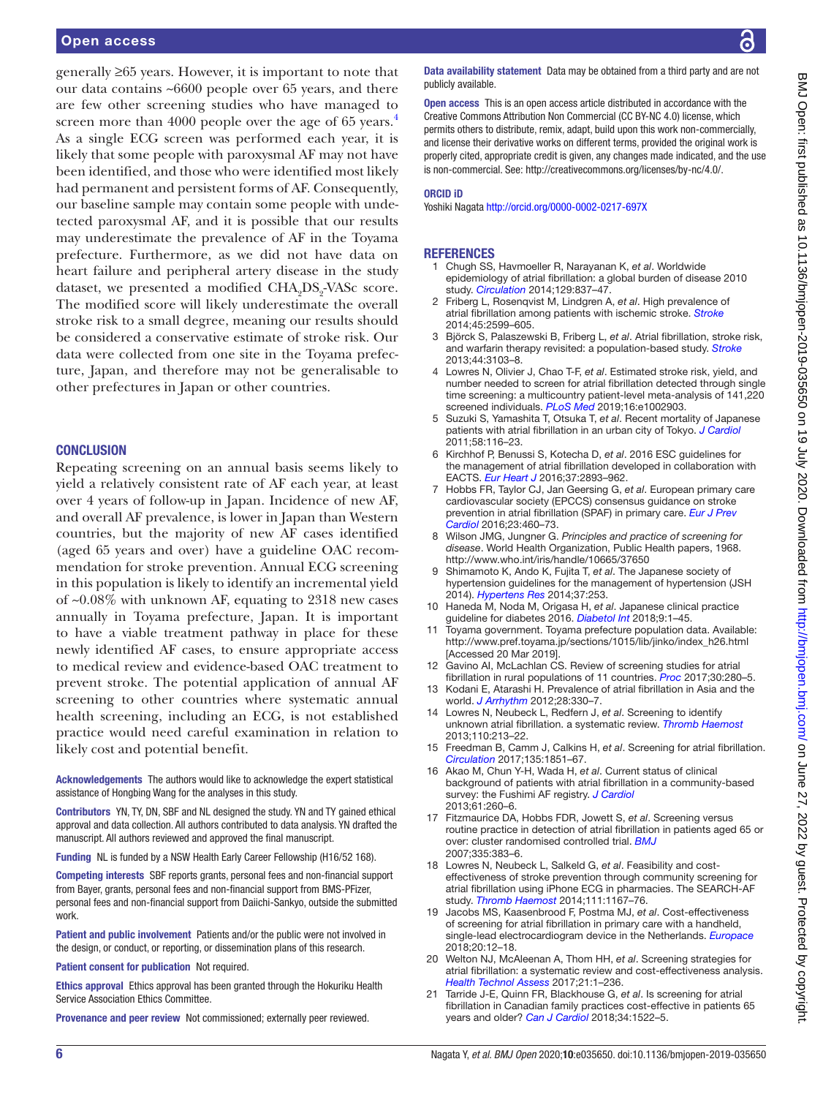#### Open access

generally ≥65 years. However, it is important to note that our data contains ~6600 people over 65 years, and there are few other screening studies who have managed to screen more than [4](#page-5-2)000 people over the age of 65 years.<sup>4</sup> As a single ECG screen was performed each year, it is likely that some people with paroxysmal AF may not have been identified, and those who were identified most likely had permanent and persistent forms of AF. Consequently, our baseline sample may contain some people with undetected paroxysmal AF, and it is possible that our results may underestimate the prevalence of AF in the Toyama prefecture. Furthermore, as we did not have data on heart failure and peripheral artery disease in the study dataset, we presented a modified  $\mathrm{CHA}_{2}\mathrm{DS}_{2}$ -VAS $\mathrm{c}$  score. The modified score will likely underestimate the overall stroke risk to a small degree, meaning our results should be considered a conservative estimate of stroke risk. Our data were collected from one site in the Toyama prefecture, Japan, and therefore may not be generalisable to other prefectures in Japan or other countries.

#### **CONCLUSION**

Repeating screening on an annual basis seems likely to yield a relatively consistent rate of AF each year, at least over 4 years of follow-up in Japan. Incidence of new AF, and overall AF prevalence, is lower in Japan than Western countries, but the majority of new AF cases identified (aged 65 years and over) have a guideline OAC recommendation for stroke prevention. Annual ECG screening in this population is likely to identify an incremental yield of ~0.08% with unknown AF, equating to 2318 new cases annually in Toyama prefecture, Japan. It is important to have a viable treatment pathway in place for these newly identified AF cases, to ensure appropriate access to medical review and evidence-based OAC treatment to prevent stroke. The potential application of annual AF screening to other countries where systematic annual health screening, including an ECG, is not established practice would need careful examination in relation to likely cost and potential benefit.

Acknowledgements The authors would like to acknowledge the expert statistical assistance of Hongbing Wang for the analyses in this study.

Contributors YN, TY, DN, SBF and NL designed the study. YN and TY gained ethical approval and data collection. All authors contributed to data analysis. YN drafted the manuscript. All authors reviewed and approved the final manuscript.

Funding NL is funded by a NSW Health Early Career Fellowship (H16/52 168).

Competing interests SBF reports grants, personal fees and non-financial support from Bayer, grants, personal fees and non-financial support from BMS-PFizer, personal fees and non-financial support from Daiichi-Sankyo, outside the submitted work.

Patient and public involvement Patients and/or the public were not involved in the design, or conduct, or reporting, or dissemination plans of this research.

Patient consent for publication Not required.

Ethics approval Ethics approval has been granted through the Hokuriku Health Service Association Ethics Committee.

Provenance and peer review Not commissioned; externally peer reviewed.

Data availability statement Data may be obtained from a third party and are not publicly available.

Open access This is an open access article distributed in accordance with the Creative Commons Attribution Non Commercial (CC BY-NC 4.0) license, which permits others to distribute, remix, adapt, build upon this work non-commercially, and license their derivative works on different terms, provided the original work is properly cited, appropriate credit is given, any changes made indicated, and the use is non-commercial. See: [http://creativecommons.org/licenses/by-nc/4.0/.](http://creativecommons.org/licenses/by-nc/4.0/)

#### ORCID iD

Yoshiki Nagata<http://orcid.org/0000-0002-0217-697X>

#### **REFERENCES**

- <span id="page-5-0"></span>1 Chugh SS, Havmoeller R, Narayanan K, *et al*. Worldwide epidemiology of atrial fibrillation: a global burden of disease 2010 study. *[Circulation](http://dx.doi.org/10.1161/CIRCULATIONAHA.113.005119)* 2014;129:837–47.
- <span id="page-5-1"></span>2 Friberg L, Rosenqvist M, Lindgren A, *et al*. High prevalence of atrial fibrillation among patients with ischemic stroke. *[Stroke](http://dx.doi.org/10.1161/STROKEAHA.114.006070)* 2014;45:2599–605.
- 3 Björck S, Palaszewski B, Friberg L, *et al*. Atrial fibrillation, stroke risk, and warfarin therapy revisited: a population-based study. *[Stroke](http://dx.doi.org/10.1161/STROKEAHA.113.002329)* 2013;44:3103–8.
- <span id="page-5-2"></span>4 Lowres N, Olivier J, Chao T-F, *et al*. Estimated stroke risk, yield, and number needed to screen for atrial fibrillation detected through single time screening: a multicountry patient-level meta-analysis of 141,220 screened individuals. *[PLoS Med](http://dx.doi.org/10.1371/journal.pmed.1002903)* 2019;16:e1002903.
- <span id="page-5-3"></span>5 Suzuki S, Yamashita T, Otsuka T, *et al*. Recent mortality of Japanese patients with atrial fibrillation in an urban city of Tokyo. *[J Cardiol](http://dx.doi.org/10.1016/j.jjcc.2011.06.006)* 2011;58:116–23.
- <span id="page-5-4"></span>6 Kirchhof P, Benussi S, Kotecha D, *et al*. 2016 ESC guidelines for the management of atrial fibrillation developed in collaboration with EACTS. *[Eur Heart J](http://dx.doi.org/10.1093/eurheartj/ehw210)* 2016;37:2893–962.
- 7 Hobbs FR, Taylor CJ, Jan Geersing G, *et al*. European primary care cardiovascular society (EPCCS) consensus guidance on stroke prevention in atrial fibrillation (SPAF) in primary care. *[Eur J Prev](http://dx.doi.org/10.1177/2047487315571890)  [Cardiol](http://dx.doi.org/10.1177/2047487315571890)* 2016;23:460–73.
- <span id="page-5-5"></span>8 Wilson JMG, Jungner G. *Principles and practice of screening for disease*. World Health Organization, Public Health papers, 1968. <http://www.who.int/iris/handle/10665/37650>
- <span id="page-5-6"></span>9 Shimamoto K, Ando K, Fujita T, *et al*. The Japanese society of hypertension guidelines for the management of hypertension (JSH 2014). *[Hypertens Res](http://dx.doi.org/10.1038/hr.2014.20)* 2014;37:253.
- <span id="page-5-7"></span>10 Haneda M, Noda M, Origasa H, *et al*. Japanese clinical practice guideline for diabetes 2016. *[Diabetol Int](http://dx.doi.org/10.1007/s13340-018-0345-3)* 2018;9:1–45.
- <span id="page-5-8"></span>11 Toyama government. Toyama prefecture population data. Available: [http://www.pref.toyama.jp/sections/1015/lib/jinko/index\\_h26.html](http://www.pref.toyama.jp/sections/1015/lib/jinko/index_h26.html)  [Accessed 20 Mar 2019].
- <span id="page-5-9"></span>12 Gavino AI, McLachlan CS. Review of screening studies for atrial fibrillation in rural populations of 11 countries. *[Proc](http://dx.doi.org/10.1080/08998280.2017.11929615)* 2017;30:280–5.
- 13 Kodani E, Atarashi H. Prevalence of atrial fibrillation in Asia and the world. *[J Arrhythm](http://dx.doi.org/10.1016/j.joa.2012.07.001)* 2012;28:330–7.
- <span id="page-5-10"></span>14 Lowres N, Neubeck L, Redfern J, *et al*. Screening to identify unknown atrial fibrillation. a systematic review. *[Thromb Haemost](http://dx.doi.org/10.1160/TH13-02-0165)* 2013;110:213–22.
- <span id="page-5-11"></span>15 Freedman B, Camm J, Calkins H, *et al*. Screening for atrial fibrillation. *[Circulation](http://dx.doi.org/10.1161/CIRCULATIONAHA.116.026693)* 2017;135:1851–67.
- <span id="page-5-12"></span>16 Akao M, Chun Y-H, Wada H, *et al*. Current status of clinical background of patients with atrial fibrillation in a community-based survey: the Fushimi AF registry. *[J Cardiol](http://dx.doi.org/10.1016/j.jjcc.2012.12.002)* 2013;61:260–6.
- <span id="page-5-13"></span>17 Fitzmaurice DA, Hobbs FDR, Jowett S, *et al*. Screening versus routine practice in detection of atrial fibrillation in patients aged 65 or over: cluster randomised controlled trial. *[BMJ](http://dx.doi.org/10.1136/bmj.39280.660567.55)* 2007;335:383–6.
- 18 Lowres N, Neubeck L, Salkeld G, *et al*. Feasibility and costeffectiveness of stroke prevention through community screening for atrial fibrillation using iPhone ECG in pharmacies. The SEARCH-AF study. *[Thromb Haemost](http://dx.doi.org/10.1160/TH14-03-0231)* 2014;111:1167–76.
- 19 Jacobs MS, Kaasenbrood F, Postma MJ, *et al*. Cost-effectiveness of screening for atrial fibrillation in primary care with a handheld, single-lead electrocardiogram device in the Netherlands. *[Europace](http://dx.doi.org/10.1093/europace/euw285)* 2018;20:12–18.
- 20 Welton NJ, McAleenan A, Thom HH, *et al*. Screening strategies for atrial fibrillation: a systematic review and cost-effectiveness analysis. *[Health Technol Assess](http://dx.doi.org/10.3310/hta21290)* 2017;21:1–236.
- 21 Tarride J-E, Quinn FR, Blackhouse G, *et al*. Is screening for atrial fibrillation in Canadian family practices cost-effective in patients 65 years and older? *[Can J Cardiol](http://dx.doi.org/10.1016/j.cjca.2018.05.016)* 2018;34:1522–5.